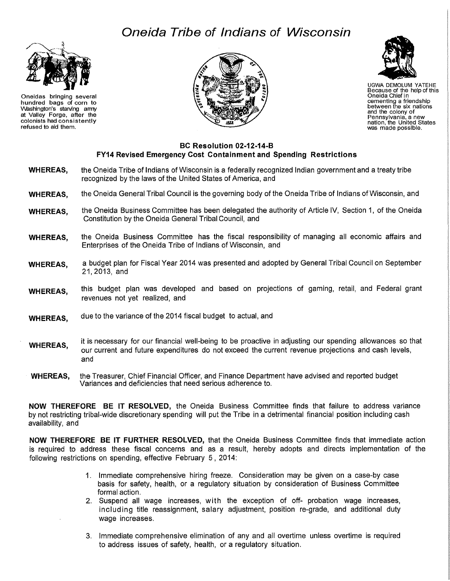## **Oneida Tribe of Indians of Wisconsin**



Oneidas bringing several hundred bags of corn to VVashington's starving anny at Valley Forge, after the colonists had consistently refused to aid them.





UGWA DEMOLUM YATEHE Because of the help of this Oneida Chief in cementing a friendship between the six nations and the colony of nation, the United States<br>was made possible.

## **BC Resolution 02-12-14-B FY14 Revised Emergency Cost Containment and Spending Restrictions**

- **WHEREAS,**  the Oneida Tribe of Indians of Wisconsin is a federally recognized Indian government and a treaty tribe recognized by the laws of the United States of America, and
- **WHEREAS,**  the Oneida General Tribal Council is the governing body of the Oneida Tribe of Indians of Wisconsin, and
- **WHEREAS,**  the Oneida Business Committee has been delegated the authority of Article IV, Section 1, of the Oneida Constitution by the Oneida General Tribal Council, and
- **WHEREAS,**  the Oneida Business Committee has the fiscal responsibility of managing all economic affairs and Enterprises of the Oneida Tribe of Indians of Wisconsin, and
- **WHEREAS,**  a budget plan for Fiscal Year 2014 was presented and adopted by General Tribal Council on September 21,2013, and
- **WHEREAS,**  this budget plan was developed and based on projections of gaming, retail, and Federal grant revenues not yet realized, and
- **WHEREAS,**  due to the variance of the 2014 fiscal budget to actual, and
- **WHEREAS,**  it is necessary for our financial well-being to be proactive in adjusting our spending allowances so that our current and future expenditures do not exceed the current revenue projections and cash levels, and
- **WHEREAS,**  the Treasurer, Chief Financial Officer, and Finance Department have advised and reported budget Variances and deficiencies that need serious adherence to.

**NOW THEREFORE BE IT RESOLVED,** the Oneida Business Committee finds that failure to address variance by not restricting tribal-wide discretionary spending will put the Tribe in a detrimental financial position including cash availability, and

**NOW THEREFORE BE IT FURTHER RESOLVED,** that the Oneida Business Committee finds that immediate action is required to address these fiscal concerns and as a result, hereby adopts and directs implementation of the following restrictions on spending, effective February 5, 2014:

- 1. Immediate comprehensive hiring freeze. Consideration may be given on a case-by case basis for safety, health, or a regulatory situation by consideration of Business Committee formal action.
- 2. Suspend all wage increases, with the exception of off- probation wage increases, including title reassignment, salary adjustment, position re-grade, and additional duty wage increases.
- 3. Immediate comprehensive elimination of any and all overtime unless overtime is required to address issues of safety, health, or a regulatory situation.